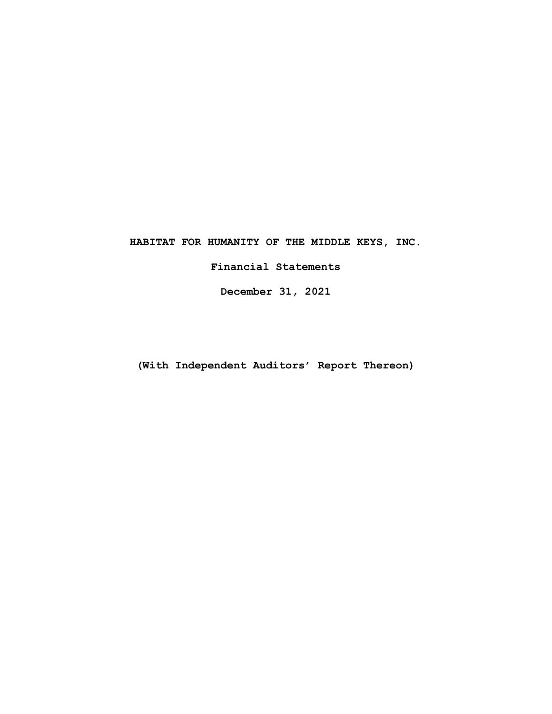**Financial Statements** 

**December 31, 2021** 

**(With Independent Auditors' Report Thereon)**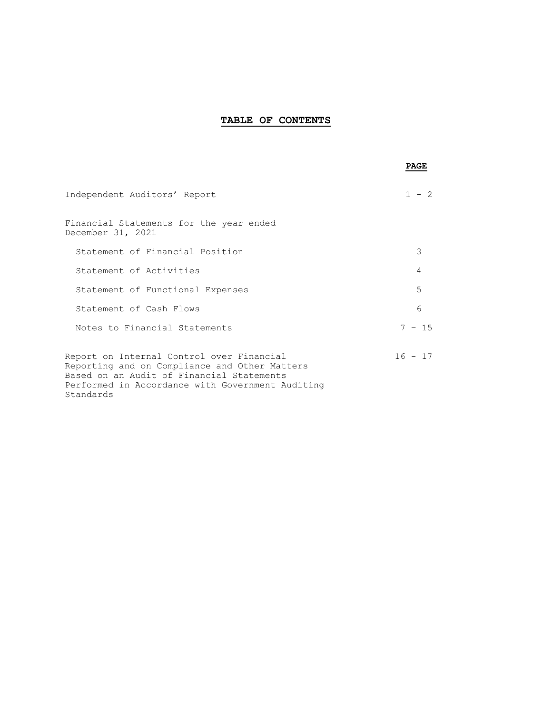# **TABLE OF CONTENTS**

|                                                                                                                                                                                                          | PAGE      |
|----------------------------------------------------------------------------------------------------------------------------------------------------------------------------------------------------------|-----------|
| Independent Auditors' Report                                                                                                                                                                             | - 2       |
| Financial Statements for the year ended<br>December 31, 2021                                                                                                                                             |           |
| Statement of Financial Position                                                                                                                                                                          | 3         |
| Statement of Activities                                                                                                                                                                                  | 4         |
| Statement of Functional Expenses                                                                                                                                                                         | 5         |
| Statement of Cash Flows                                                                                                                                                                                  | 6         |
| Notes to Financial Statements                                                                                                                                                                            | $7 - 15$  |
| Report on Internal Control over Financial<br>Reporting and on Compliance and Other Matters<br>Based on an Audit of Financial Statements<br>Performed in Accordance with Government Auditing<br>Standards | $16 - 17$ |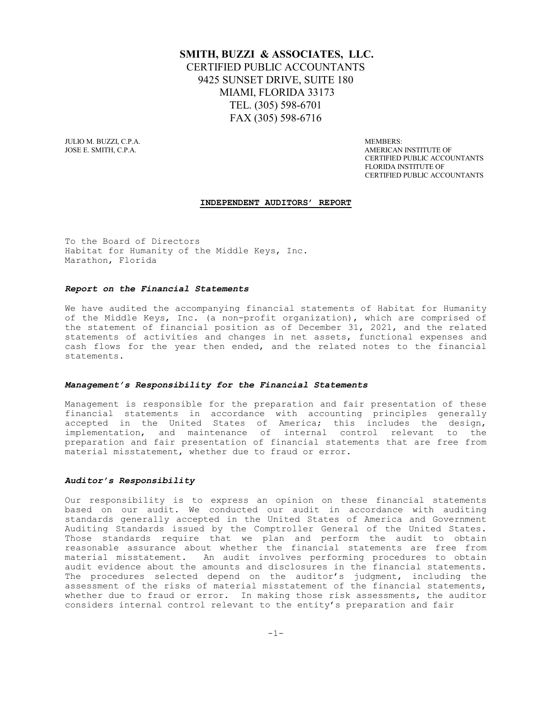# **SMITH, BUZZI & ASSOCIATES, LLC.** CERTIFIED PUBLIC ACCOUNTANTS 9425 SUNSET DRIVE, SUITE 180 MIAMI, FLORIDA 33173 TEL. (305) 598-6701 FAX (305) 598-6716

JULIO M. BUZZI, C.P.A. MEMBERS: AND A MEMBERS: A MEMBERS: A MEMBERS: A MEMBERS: A MEMBERS: A MEMBERS: A MEMBERS: A MEMBERS: A MEMBERS: A MEMBERS: A MEMBERS: A MEMBERS: A MEMBERS: A MEMBERS: A MEMBERS: A MEMBERS: A MEMBERS:

AMERICAN INSTITUTE OF CERTIFIED PUBLIC ACCOUNTANTS FLORIDA INSTITUTE OF CERTIFIED PUBLIC ACCOUNTANTS

#### **INDEPENDENT AUDITORS' REPORT**

To the Board of Directors Habitat for Humanity of the Middle Keys, Inc. Marathon, Florida

#### *Report on the Financial Statements*

We have audited the accompanying financial statements of Habitat for Humanity of the Middle Keys, Inc. (a non-profit organization), which are comprised of the statement of financial position as of December 31, 2021, and the related statements of activities and changes in net assets, functional expenses and cash flows for the year then ended, and the related notes to the financial statements.

#### *Management's Responsibility for the Financial Statements*

Management is responsible for the preparation and fair presentation of these financial statements in accordance with accounting principles generally accepted in the United States of America; this includes the design, implementation, and maintenance of internal control relevant to the preparation and fair presentation of financial statements that are free from material misstatement, whether due to fraud or error.

#### *Auditor's Responsibility*

Our responsibility is to express an opinion on these financial statements based on our audit. We conducted our audit in accordance with auditing standards generally accepted in the United States of America and Government Auditing Standards issued by the Comptroller General of the United States. Those standards require that we plan and perform the audit to obtain reasonable assurance about whether the financial statements are free from material misstatement. An audit involves performing procedures to obtain audit evidence about the amounts and disclosures in the financial statements. The procedures selected depend on the auditor's judgment, including the assessment of the risks of material misstatement of the financial statements, whether due to fraud or error. In making those risk assessments, the auditor considers internal control relevant to the entity's preparation and fair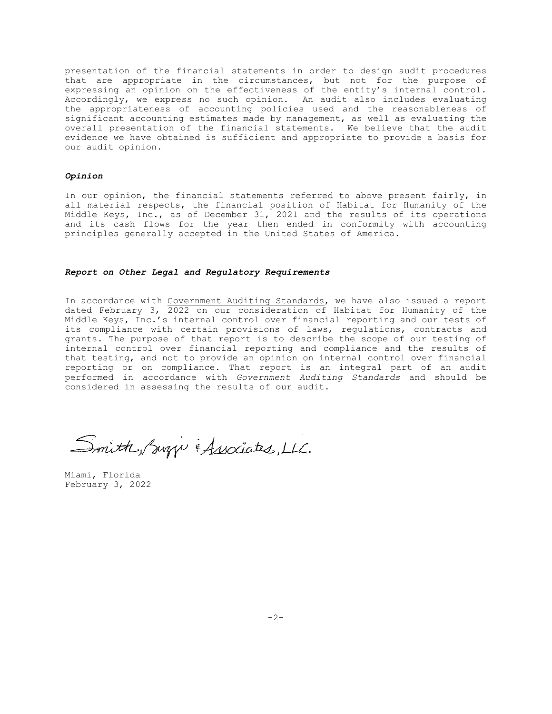presentation of the financial statements in order to design audit procedures that are appropriate in the circumstances, but not for the purpose of expressing an opinion on the effectiveness of the entity's internal control. Accordingly, we express no such opinion. An audit also includes evaluating the appropriateness of accounting policies used and the reasonableness of significant accounting estimates made by management, as well as evaluating the overall presentation of the financial statements. We believe that the audit evidence we have obtained is sufficient and appropriate to provide a basis for our audit opinion.

#### *Opinion*

In our opinion, the financial statements referred to above present fairly, in all material respects, the financial position of Habitat for Humanity of the Middle Keys, Inc., as of December 31, 2021 and the results of its operations and its cash flows for the year then ended in conformity with accounting principles generally accepted in the United States of America.

#### *Report on Other Legal and Regulatory Requirements*

In accordance with Government Auditing Standards, we have also issued a report dated February 3, 2022 on our consideration of Habitat for Humanity of the Middle Keys, Inc.'s internal control over financial reporting and our tests of its compliance with certain provisions of laws, regulations, contracts and grants. The purpose of that report is to describe the scope of our testing of internal control over financial reporting and compliance and the results of that testing, and not to provide an opinion on internal control over financial reporting or on compliance. That report is an integral part of an audit performed in accordance with *Government Auditing Standards* and should be considered in assessing the results of our audit.

Smith, Suzzi & Associates, LLC.

Miami, Florida February 3, 2022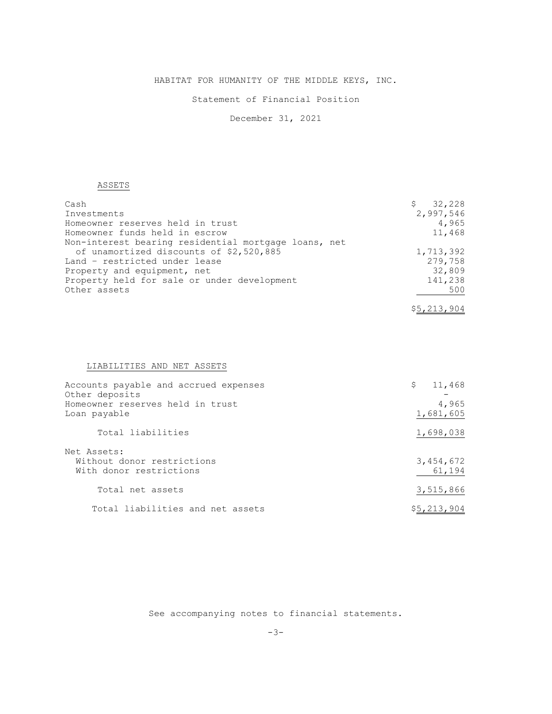# Statement of Financial Position

December 31, 2021

# ASSETS

| Cash                                                 | 32,228<br>\$. |
|------------------------------------------------------|---------------|
| Investments                                          | 2,997,546     |
| Homeowner reserves held in trust                     | 4,965         |
| Homeowner funds held in escrow                       | 11,468        |
| Non-interest bearing residential mortgage loans, net |               |
| of unamortized discounts of \$2,520,885              | 1,713,392     |
| Land - restricted under lease                        | 279,758       |
| Property and equipment, net                          | 32,809        |
| Property held for sale or under development          | 141,238       |
| Other assets                                         | 500           |
|                                                      | \$5,213,904   |

# LIABILITIES AND NET ASSETS

| Accounts payable and accrued expenses<br>Other deposits              | 11,468<br>\$        |
|----------------------------------------------------------------------|---------------------|
| Homeowner reserves held in trust<br>Loan payable                     | 4,965<br>1,681,605  |
| Total liabilities                                                    | 1,698,038           |
| Net Assets:<br>Without donor restrictions<br>With donor restrictions | 3,454,672<br>61,194 |
| Total net assets                                                     | 3,515,866           |
| Total liabilities and net assets                                     | \$5,213,904         |

See accompanying notes to financial statements.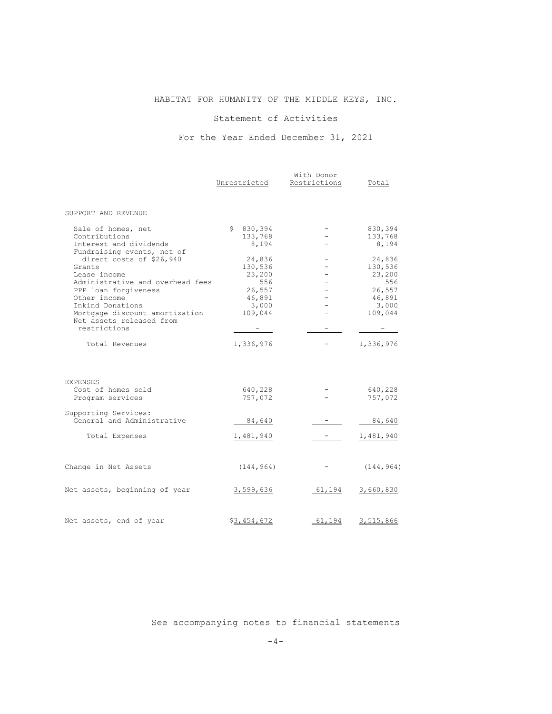# Statement of Activities

# For the Year Ended December 31, 2021

|                                                    |              | With Donor               |            |  |
|----------------------------------------------------|--------------|--------------------------|------------|--|
|                                                    | Unrestricted | Restrictions             | Total      |  |
| SUPPORT AND REVENUE                                |              |                          |            |  |
| Sale of homes, net                                 | \$830,394    |                          | 830,394    |  |
| Contributions                                      | 133,768      |                          | 133,768    |  |
| Interest and dividends                             | 8,194        |                          | 8,194      |  |
| Fundraising events, net of                         |              |                          |            |  |
| direct costs of \$26,940                           | 24,836       |                          | 24,836     |  |
| Grants                                             | 130,536      |                          | 130,536    |  |
| Lease income                                       | 23,200       |                          | 23,200     |  |
| Administrative and overhead fees                   | 556          |                          | 556        |  |
| PPP loan forgiveness                               | 26,557       |                          | 26,557     |  |
| Other income                                       | 46,891       | $\sim$                   | 46,891     |  |
| Inkind Donations                                   | 3,000        |                          | 3,000      |  |
| Mortgage discount amortization                     | 109,044      |                          | 109,044    |  |
| Net assets released from                           |              |                          |            |  |
| restrictions                                       |              |                          |            |  |
| Total Revenues                                     | 1,336,976    |                          | 1,336,976  |  |
| <b>EXPENSES</b><br>Cost of homes sold              | 640,228      |                          | 640,228    |  |
| Program services                                   | 757,072      |                          | 757,072    |  |
| Supporting Services:<br>General and Administrative | 84,640       |                          | 84,640     |  |
|                                                    |              |                          |            |  |
| Total Expenses                                     | 1,481,940    | <b>Contract Contract</b> | 1,481,940  |  |
| Change in Net Assets                               | (144, 964)   |                          | (144, 964) |  |
|                                                    |              |                          |            |  |
| Net assets, beginning of year                      | 3,599,636    | 61,194                   | 3,660,830  |  |
| Net assets, end of year                            | \$3,454,672  | 61,194                   | 3,515,866  |  |
|                                                    |              |                          |            |  |

See accompanying notes to financial statements

 $-4-$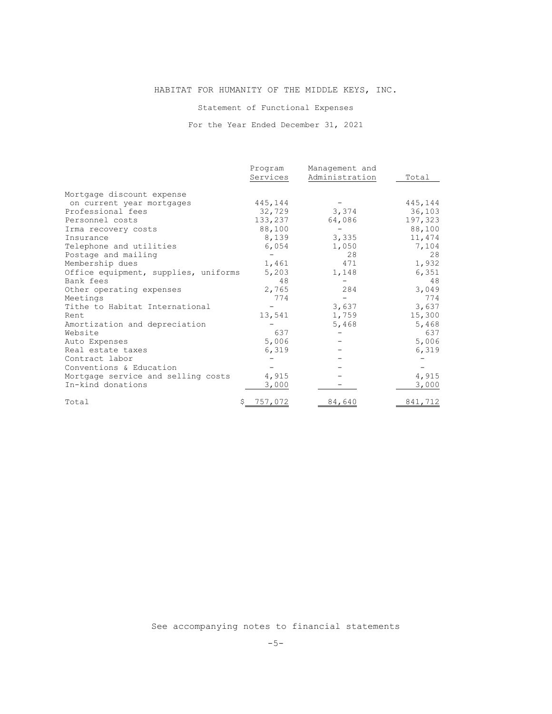Statement of Functional Expenses

For the Year Ended December 31, 2021

|                                      | Program        | Management and |         |
|--------------------------------------|----------------|----------------|---------|
|                                      | Services       | Administration | Total   |
| Mortgage discount expense            |                |                |         |
| on current year mortgages            | 445,144        |                | 445,144 |
| Professional fees                    | 32,729         | 3,374          | 36,103  |
| Personnel costs                      | 133,237        | 64,086         | 197,323 |
| Irma recovery costs                  | 88,100         |                | 88,100  |
| Insurance                            | 8,139          | 3,335          | 11,474  |
| Telephone and utilities              | 6,054          | 1,050          | 7,104   |
| Postage and mailing                  |                | 28             | 28      |
| Membership dues                      | 1,461          | 471            | 1,932   |
| Office equipment, supplies, uniforms | 5,203          | 1,148          | 6,351   |
| Bank fees                            | 48             |                | 48      |
| Other operating expenses             | 2,765          | 284            | 3,049   |
| Meetings                             | 774            |                | 774     |
| Tithe to Habitat International       |                | 3,637          | 3,637   |
| Rent.                                | 13,541         | 1,759          | 15,300  |
| Amortization and depreciation        |                | 5,468          | 5,468   |
| Website                              | 637            |                | 637     |
| Auto Expenses                        | 5,006          |                | 5,006   |
| Real estate taxes                    | 6,319          |                | 6,319   |
| Contract labor                       |                |                |         |
| Conventions & Education              |                |                |         |
| Mortgage service and selling costs   | 4,915          |                | 4,915   |
| In-kind donations                    | 3,000          |                | 3,000   |
| Total                                | <u>757,072</u> | 84,640         | 841,712 |

See accompanying notes to financial statements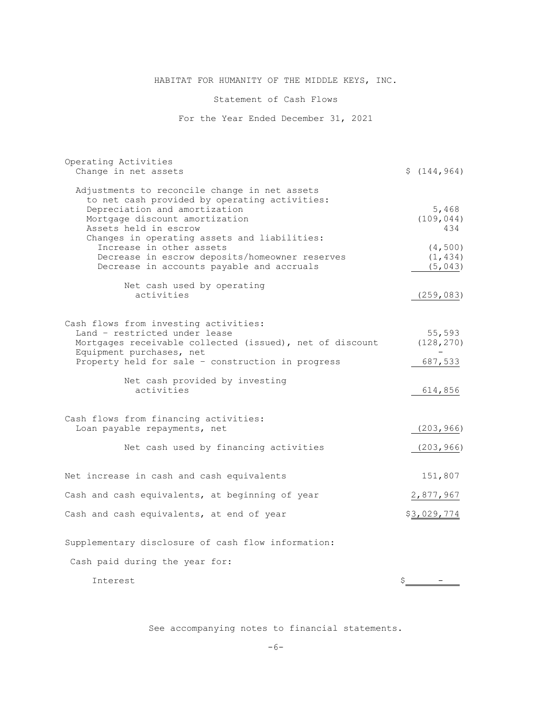# Statement of Cash Flows

For the Year Ended December 31, 2021

| Operating Activities<br>Change in net assets                                                   | \$(144, 964)      |
|------------------------------------------------------------------------------------------------|-------------------|
| Adjustments to reconcile change in net assets<br>to net cash provided by operating activities: |                   |
| Depreciation and amortization                                                                  | 5,468             |
| Mortgage discount amortization<br>Assets held in escrow                                        | (109, 044)<br>434 |
| Changes in operating assets and liabilities:                                                   |                   |
| Increase in other assets                                                                       | (4, 500)          |
| Decrease in escrow deposits/homeowner reserves                                                 | (1, 434)          |
| Decrease in accounts payable and accruals                                                      | (5, 043)          |
| Net cash used by operating                                                                     |                   |
| activities                                                                                     | (259, 083)        |
|                                                                                                |                   |
| Cash flows from investing activities:                                                          |                   |
| Land - restricted under lease                                                                  | 55,593            |
| Mortgages receivable collected (issued), net of discount                                       | (128, 270)        |
| Equipment purchases, net<br>Property held for sale - construction in progress                  | 687,533           |
|                                                                                                |                   |
| Net cash provided by investing                                                                 |                   |
| activities                                                                                     | 614,856           |
|                                                                                                |                   |
| Cash flows from financing activities:                                                          |                   |
| Loan payable repayments, net                                                                   | (203, 966)        |
| Net cash used by financing activities                                                          | (203, 966)        |
|                                                                                                |                   |
| Net increase in cash and cash equivalents                                                      | 151,807           |
| Cash and cash equivalents, at beginning of year                                                | 2,877,967         |
| Cash and cash equivalents, at end of year                                                      | \$3,029,774       |
| Supplementary disclosure of cash flow information:                                             |                   |
|                                                                                                |                   |
| Cash paid during the year for:                                                                 |                   |

Interest  $\zeta$  -  $-\zeta$ 

See accompanying notes to financial statements.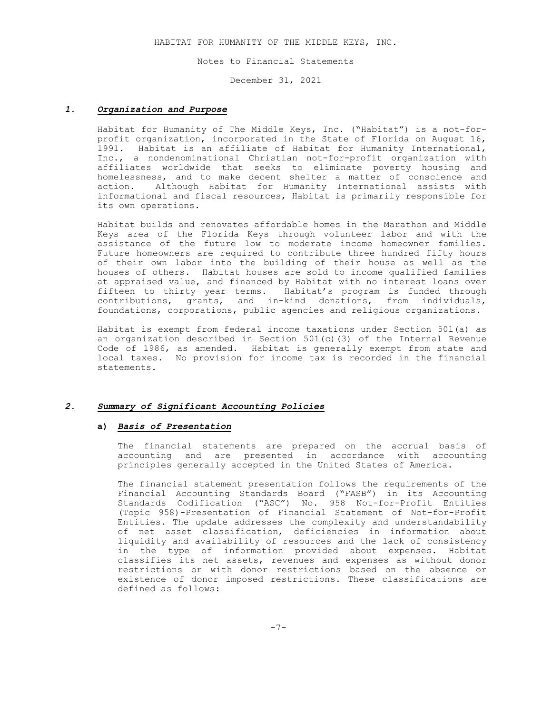Notes to Financial Statements

December 31, 2021

#### *1. Organization and Purpose*

Habitat for Humanity of The Middle Keys, Inc. ("Habitat") is a not-forprofit organization, incorporated in the State of Florida on August 16, 1991. Habitat is an affiliate of Habitat for Humanity International, Inc., a nondenominational Christian not-for-profit organization with affiliates worldwide that seeks to eliminate poverty housing and homelessness, and to make decent shelter a matter of conscience and action. Although Habitat for Humanity International assists with informational and fiscal resources, Habitat is primarily responsible for its own operations.

 Habitat builds and renovates affordable homes in the Marathon and Middle Keys area of the Florida Keys through volunteer labor and with the assistance of the future low to moderate income homeowner families. Future homeowners are required to contribute three hundred fifty hours of their own labor into the building of their house as well as the houses of others. Habitat houses are sold to income qualified families at appraised value, and financed by Habitat with no interest loans over fifteen to thirty year terms. Habitat's program is funded through contributions, grants, and in-kind donations, from individuals, foundations, corporations, public agencies and religious organizations.

 Habitat is exempt from federal income taxations under Section 501(a) as an organization described in Section 501(c)(3) of the Internal Revenue Code of 1986, as amended. Habitat is generally exempt from state and local taxes. No provision for income tax is recorded in the financial statements.

#### *2. Summary of Significant Accounting Policies*

## **a)** *Basis of Presentation*

 The financial statements are prepared on the accrual basis of accounting and are presented in accordance with accounting principles generally accepted in the United States of America.

 The financial statement presentation follows the requirements of the Financial Accounting Standards Board ("FASB") in its Accounting Standards Codification ("ASC") No. 958 Not-for-Profit Entities (Topic 958)-Presentation of Financial Statement of Not-for-Profit Entities. The update addresses the complexity and understandability of net asset classification, deficiencies in information about liquidity and availability of resources and the lack of consistency in the type of information provided about expenses. Habitat classifies its net assets, revenues and expenses as without donor restrictions or with donor restrictions based on the absence or existence of donor imposed restrictions. These classifications are defined as follows: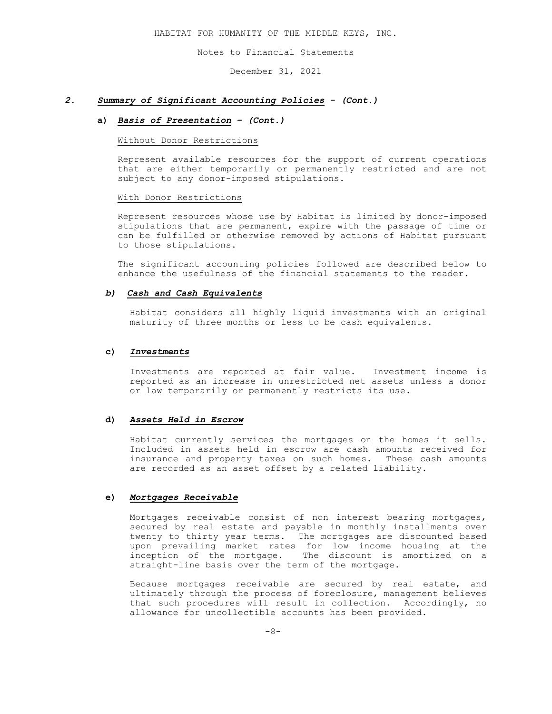Notes to Financial Statements

December 31, 2021

#### *2. Summary of Significant Accounting Policies - (Cont.)*

#### **a)** *Basis of Presentation – (Cont.)*

#### Without Donor Restrictions

Represent available resources for the support of current operations that are either temporarily or permanently restricted and are not subject to any donor-imposed stipulations.

#### With Donor Restrictions

Represent resources whose use by Habitat is limited by donor-imposed stipulations that are permanent, expire with the passage of time or can be fulfilled or otherwise removed by actions of Habitat pursuant to those stipulations.

The significant accounting policies followed are described below to enhance the usefulness of the financial statements to the reader.

## *b) Cash and Cash Equivalents*

Habitat considers all highly liquid investments with an original maturity of three months or less to be cash equivalents.

#### **c)** *Investments*

Investments are reported at fair value. Investment income is reported as an increase in unrestricted net assets unless a donor or law temporarily or permanently restricts its use.

#### **d)** *Assets Held in Escrow*

Habitat currently services the mortgages on the homes it sells. Included in assets held in escrow are cash amounts received for insurance and property taxes on such homes. These cash amounts are recorded as an asset offset by a related liability.

#### **e)** *Mortgages Receivable*

Mortgages receivable consist of non interest bearing mortgages, secured by real estate and payable in monthly installments over twenty to thirty year terms. The mortgages are discounted based upon prevailing market rates for low income housing at the inception of the mortgage. The discount is amortized on a straight-line basis over the term of the mortgage.

Because mortgages receivable are secured by real estate, and ultimately through the process of foreclosure, management believes that such procedures will result in collection. Accordingly, no allowance for uncollectible accounts has been provided.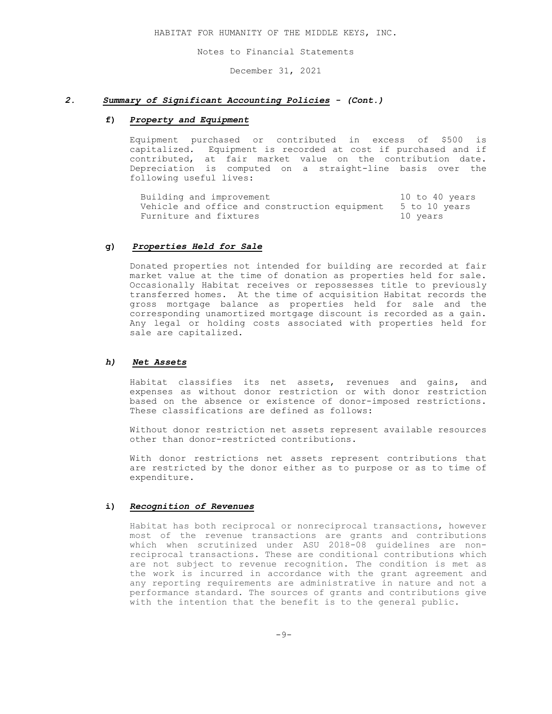Notes to Financial Statements

December 31, 2021

## *2. Summary of Significant Accounting Policies - (Cont.)*

#### **f)** *Property and Equipment*

Equipment purchased or contributed in excess of \$500 is capitalized. Equipment is recorded at cost if purchased and if contributed, at fair market value on the contribution date. Depreciation is computed on a straight-line basis over the following useful lives:

Building and improvement 10 to 40 years Vehicle and office and construction equipment 5 to 10 years Furniture and fixtures and  $10$  years

## **g)** *Properties Held for Sale*

Donated properties not intended for building are recorded at fair market value at the time of donation as properties held for sale. Occasionally Habitat receives or repossesses title to previously transferred homes. At the time of acquisition Habitat records the gross mortgage balance as properties held for sale and the corresponding unamortized mortgage discount is recorded as a gain. Any legal or holding costs associated with properties held for sale are capitalized.

# *h) Net Assets*

Habitat classifies its net assets, revenues and gains, and expenses as without donor restriction or with donor restriction based on the absence or existence of donor-imposed restrictions. These classifications are defined as follows:

Without donor restriction net assets represent available resources other than donor-restricted contributions.

With donor restrictions net assets represent contributions that are restricted by the donor either as to purpose or as to time of expenditure.

#### **i)** *Recognition of Revenues*

Habitat has both reciprocal or nonreciprocal transactions, however most of the revenue transactions are grants and contributions which when scrutinized under ASU 2018-08 guidelines are nonreciprocal transactions. These are conditional contributions which are not subject to revenue recognition. The condition is met as the work is incurred in accordance with the grant agreement and any reporting requirements are administrative in nature and not a performance standard. The sources of grants and contributions give with the intention that the benefit is to the general public.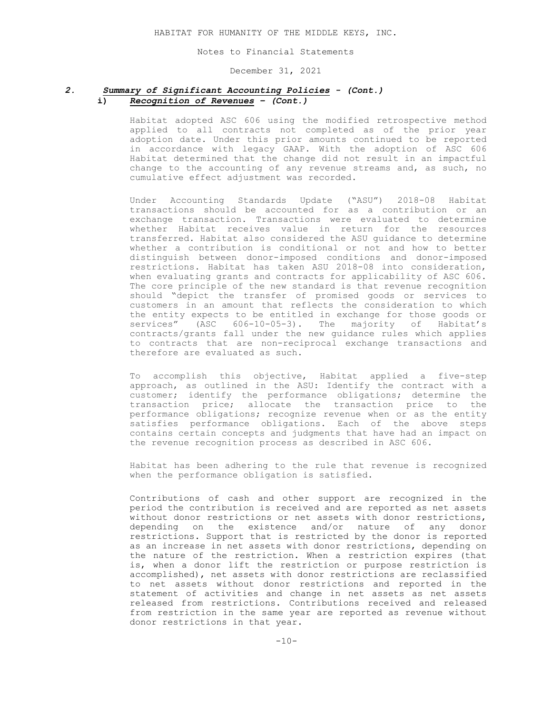Notes to Financial Statements

December 31, 2021

# *2. Summary of Significant Accounting Policies - (Cont.)* **i)** *Recognition of Revenues – (Cont.)*

Habitat adopted ASC 606 using the modified retrospective method applied to all contracts not completed as of the prior year adoption date. Under this prior amounts continued to be reported in accordance with legacy GAAP. With the adoption of ASC 606 Habitat determined that the change did not result in an impactful change to the accounting of any revenue streams and, as such, no cumulative effect adjustment was recorded.

Under Accounting Standards Update ("ASU") 2018-08 Habitat transactions should be accounted for as a contribution or an exchange transaction. Transactions were evaluated to determine whether Habitat receives value in return for the resources transferred. Habitat also considered the ASU guidance to determine whether a contribution is conditional or not and how to better distinguish between donor-imposed conditions and donor-imposed restrictions. Habitat has taken ASU 2018-08 into consideration, when evaluating grants and contracts for applicability of ASC 606. The core principle of the new standard is that revenue recognition should "depict the transfer of promised goods or services to customers in an amount that reflects the consideration to which the entity expects to be entitled in exchange for those goods or services" (ASC 606-10-05-3). The majority of Habitat's contracts/grants fall under the new guidance rules which applies to contracts that are non-reciprocal exchange transactions and therefore are evaluated as such.

To accomplish this objective, Habitat applied a five-step approach, as outlined in the ASU: Identify the contract with a customer; identify the performance obligations; determine the transaction price; allocate the transaction price to the performance obligations; recognize revenue when or as the entity satisfies performance obligations. Each of the above steps contains certain concepts and judgments that have had an impact on the revenue recognition process as described in ASC 606.

Habitat has been adhering to the rule that revenue is recognized when the performance obligation is satisfied.

Contributions of cash and other support are recognized in the period the contribution is received and are reported as net assets without donor restrictions or net assets with donor restrictions, depending on the existence and/or nature of any donor restrictions. Support that is restricted by the donor is reported as an increase in net assets with donor restrictions, depending on the nature of the restriction. When a restriction expires (that is, when a donor lift the restriction or purpose restriction is accomplished), net assets with donor restrictions are reclassified to net assets without donor restrictions and reported in the statement of activities and change in net assets as net assets released from restrictions. Contributions received and released from restriction in the same year are reported as revenue without donor restrictions in that year.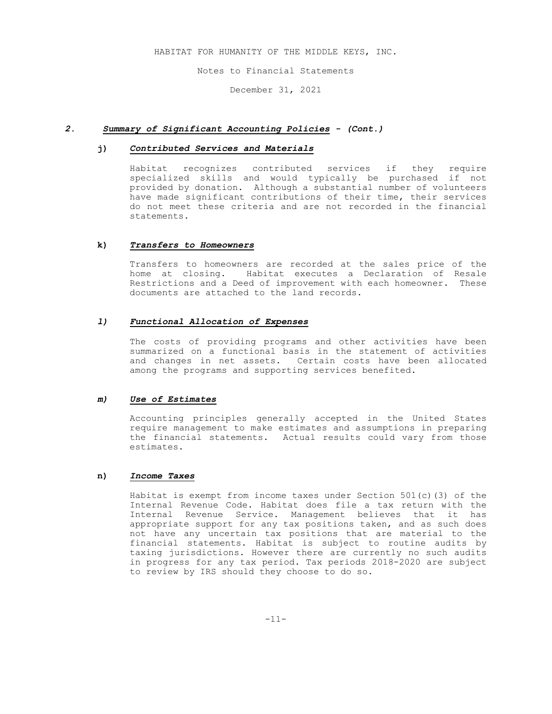Notes to Financial Statements

December 31, 2021

## *2. Summary of Significant Accounting Policies - (Cont.)*

# **j)** *Contributed Services and Materials*

Habitat recognizes contributed services if they require specialized skills and would typically be purchased if not provided by donation. Although a substantial number of volunteers have made significant contributions of their time, their services do not meet these criteria and are not recorded in the financial statements.

#### **k)** *Transfers to Homeowners*

Transfers to homeowners are recorded at the sales price of the home at closing. Habitat executes a Declaration of Resale Restrictions and a Deed of improvement with each homeowner. These documents are attached to the land records.

## *l) Functional Allocation of Expenses*

The costs of providing programs and other activities have been summarized on a functional basis in the statement of activities and changes in net assets. Certain costs have been allocated among the programs and supporting services benefited.

#### *m) Use of Estimates*

Accounting principles generally accepted in the United States require management to make estimates and assumptions in preparing the financial statements. Actual results could vary from those estimates.

# **n)** *Income Taxes*

Habitat is exempt from income taxes under Section 501(c)(3) of the Internal Revenue Code. Habitat does file a tax return with the Internal Revenue Service. Management believes that it has appropriate support for any tax positions taken, and as such does not have any uncertain tax positions that are material to the financial statements. Habitat is subject to routine audits by taxing jurisdictions. However there are currently no such audits in progress for any tax period. Tax periods 2018-2020 are subject to review by IRS should they choose to do so.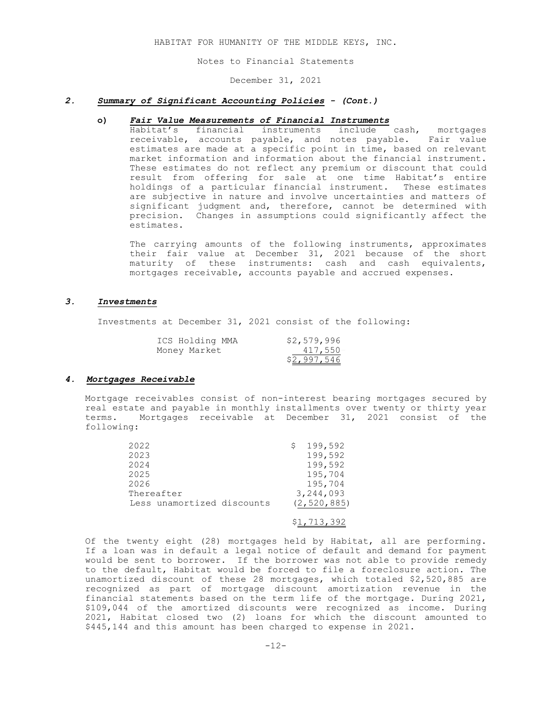Notes to Financial Statements

December 31, 2021

#### *2. Summary of Significant Accounting Policies - (Cont.)*

## **o)** *Fair Value Measurements of Financial Instruments*

 Habitat's financial instruments include cash, mortgages receivable, accounts payable, and notes payable. Fair value estimates are made at a specific point in time, based on relevant market information and information about the financial instrument. These estimates do not reflect any premium or discount that could result from offering for sale at one time Habitat's entire holdings of a particular financial instrument. These estimates are subjective in nature and involve uncertainties and matters of significant judgment and, therefore, cannot be determined with precision. Changes in assumptions could significantly affect the estimates.

> The carrying amounts of the following instruments, approximates their fair value at December 31, 2021 because of the short maturity of these instruments: cash and cash equivalents, mortgages receivable, accounts payable and accrued expenses.

#### *3. Investments*

Investments at December 31, 2021 consist of the following:

| ICS Holding MMA | \$2,579,996 |
|-----------------|-------------|
| Money Market    | 417,550-    |
|                 | \$2,997,546 |

#### *4. Mortgages Receivable*

Mortgage receivables consist of non-interest bearing mortgages secured by real estate and payable in monthly installments over twenty or thirty year terms. Mortgages receivable at December 31, 2021 consist of the following:

| 2022                       | 199,592       |
|----------------------------|---------------|
| 2023                       | 199,592       |
| 2024                       | 199,592       |
| 2025                       | 195,704       |
| 2026                       | 195,704       |
| Thereafter                 | 3,244,093     |
| Less unamortized discounts | (2, 520, 885) |

# \$1,713,392

 Of the twenty eight (28) mortgages held by Habitat, all are performing. If a loan was in default a legal notice of default and demand for payment would be sent to borrower. If the borrower was not able to provide remedy to the default, Habitat would be forced to file a foreclosure action. The unamortized discount of these 28 mortgages, which totaled \$2,520,885 are recognized as part of mortgage discount amortization revenue in the financial statements based on the term life of the mortgage. During 2021, \$109,044 of the amortized discounts were recognized as income. During 2021, Habitat closed two (2) loans for which the discount amounted to \$445,144 and this amount has been charged to expense in 2021.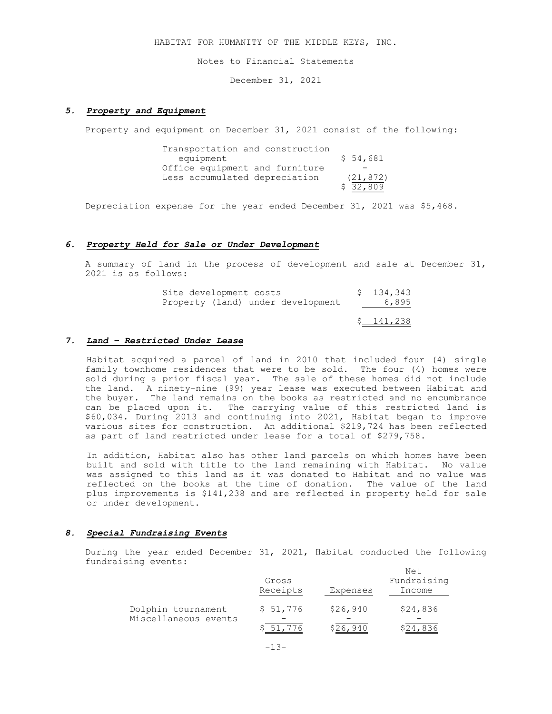Notes to Financial Statements

December 31, 2021

#### *5. Property and Equipment*

Property and equipment on December 31, 2021 consist of the following:

 Transportation and construction equipment \$ 54,681 Office equipment and furniture Less accumulated depreciation (21,872) \$ 32,809=

Depreciation expense for the year ended December 31, 2021 was \$5,468.

# *6. Property Held for Sale or Under Development*

A summary of land in the process of development and sale at December 31, 2021 is as follows:

| Site development costs<br>Property (land) under development | \$134,343<br>6,895 |
|-------------------------------------------------------------|--------------------|
|                                                             | \$141,238          |

# *7. Land – Restricted Under Lease*

 Habitat acquired a parcel of land in 2010 that included four (4) single family townhome residences that were to be sold. The four (4) homes were sold during a prior fiscal year. The sale of these homes did not include the land. A ninety-nine (99) year lease was executed between Habitat and the buyer. The land remains on the books as restricted and no encumbrance can be placed upon it. The carrying value of this restricted land is \$60,034. During 2013 and continuing into 2021, Habitat began to improve various sites for construction. An additional \$219,724 has been reflected as part of land restricted under lease for a total of \$279,758.

In addition, Habitat also has other land parcels on which homes have been built and sold with title to the land remaining with Habitat. No value was assigned to this land as it was donated to Habitat and no value was reflected on the books at the time of donation. The value of the land plus improvements is \$141,238 and are reflected in property held for sale or under development.

#### *8. Special Fundraising Events*

During the year ended December 31, 2021, Habitat conducted the following fundraising events:

|                      | Gross<br>Receipts | Expenses | Net<br>Fundraising<br>Income |
|----------------------|-------------------|----------|------------------------------|
| Dolphin tournament   | \$51,776          | \$26,940 | \$24,836                     |
| Miscellaneous events | S 51              | \$26,940 | \$24,836                     |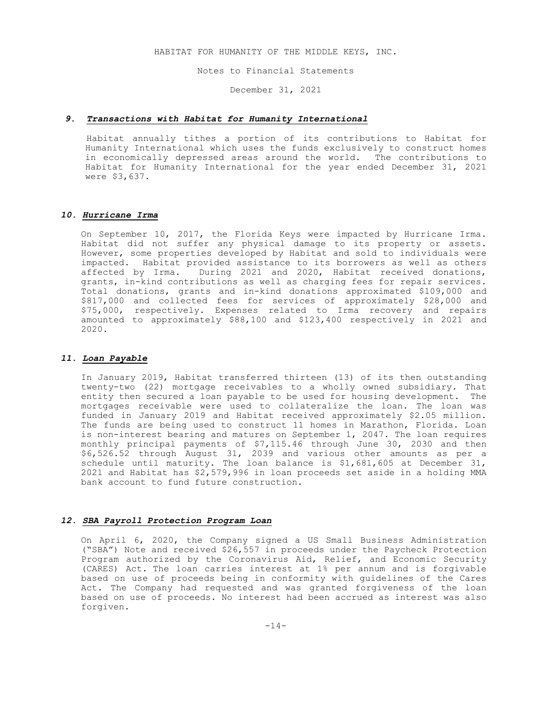Notes to Financial Statements

December 31, 2021

# *9. Transactions with Habitat for Humanity International*

 Habitat annually tithes a portion of its contributions to Habitat for Humanity International which uses the funds exclusively to construct homes in economically depressed areas around the world. The contributions to Habitat for Humanity International for the year ended December 31, 2021 were \$3,637.

# *10. Hurricane Irma*

On September 10, 2017, the Florida Keys were impacted by Hurricane Irma. Habitat did not suffer any physical damage to its property or assets. However, some properties developed by Habitat and sold to individuals were impacted. Habitat provided assistance to its borrowers as well as others affected by Irma. During 2021 and 2020, Habitat received donations, grants, in-kind contributions as well as charging fees for repair services. Total donations, grants and in-kind donations approximated \$109,000 and \$817,000 and collected fees for services of approximately \$28,000 and \$75,000, respectively. Expenses related to Irma recovery and repairs amounted to approximately \$88,100 and \$123,400 respectively in 2021 and 2020.

# *11. Loan Payable*

 In January 2019, Habitat transferred thirteen (13) of its then outstanding twenty-two (22) mortgage receivables to a wholly owned subsidiary. That entity then secured a loan payable to be used for housing development. The mortgages receivable were used to collateralize the loan. The loan was funded in January 2019 and Habitat received approximately \$2.05 million. The funds are being used to construct 11 homes in Marathon, Florida. Loan is non-interest bearing and matures on September 1, 2047. The loan requires monthly principal payments of \$7,115.46 through June 30, 2030 and then \$6,526.52 through August 31, 2039 and various other amounts as per a schedule until maturity. The loan balance is \$1,681,605 at December 31, 2021 and Habitat has \$2,579,996 in loan proceeds set aside in a holding MMA bank account to fund future construction.

# *12. SBA Payroll Protection Program Loan*

 On April 6, 2020, the Company signed a US Small Business Administration ("SBA") Note and received \$26,557 in proceeds under the Paycheck Protection Program authorized by the Coronavirus Aid, Relief, and Economic Security (CARES) Act. The loan carries interest at 1% per annum and is forgivable based on use of proceeds being in conformity with guidelines of the Cares Act. The Company had requested and was granted forgiveness of the loan based on use of proceeds. No interest had been accrued as interest was also forgiven.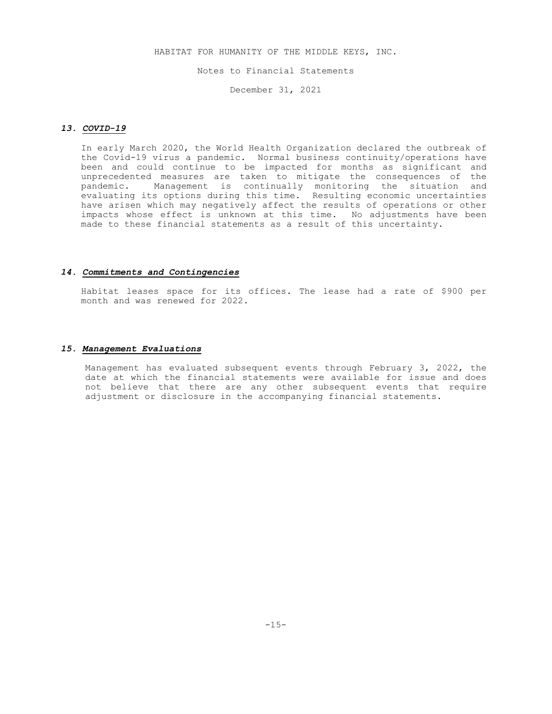Notes to Financial Statements

December 31, 2021

#### *13. COVID-19*

 In early March 2020, the World Health Organization declared the outbreak of the Covid-19 virus a pandemic. Normal business continuity/operations have been and could continue to be impacted for months as significant and unprecedented measures are taken to mitigate the consequences of the pandemic. Management is continually monitoring the situation and evaluating its options during this time. Resulting economic uncertainties have arisen which may negatively affect the results of operations or other impacts whose effect is unknown at this time. No adjustments have been made to these financial statements as a result of this uncertainty.

#### *14. Commitments and Contingencies*

Habitat leases space for its offices. The lease had a rate of \$900 per month and was renewed for 2022.

# *15. Management Evaluations*

Management has evaluated subsequent events through February 3, 2022, the date at which the financial statements were available for issue and does not believe that there are any other subsequent events that require adjustment or disclosure in the accompanying financial statements.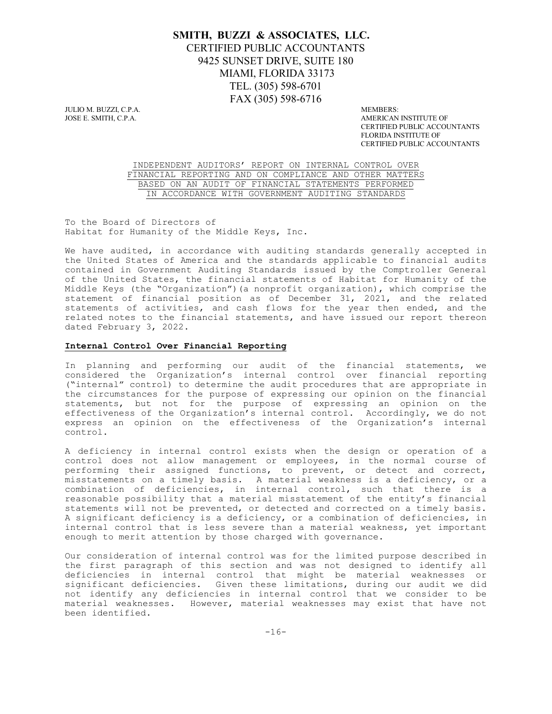# **SMITH, BUZZI & ASSOCIATES, LLC.** CERTIFIED PUBLIC ACCOUNTANTS 9425 SUNSET DRIVE, SUITE 180 MIAMI, FLORIDA 33173 TEL. (305) 598-6701 FAX (305) 598-6716

JULIO M. BUZZI, C.P.A. ANEWBERS: JOSE E. SMITH, C.P.A. ANEWBERS: JOSE E. SMITH, C.P.A.

AMERICAN INSTITUTE OF CERTIFIED PUBLIC ACCOUNTANTS FLORIDA INSTITUTE OF CERTIFIED PUBLIC ACCOUNTANTS

INDEPENDENT AUDITORS' REPORT ON INTERNAL CONTROL OVER FINANCIAL REPORTING AND ON COMPLIANCE AND OTHER MATTERS BASED ON AN AUDIT OF FINANCIAL STATEMENTS PERFORMED IN ACCORDANCE WITH GOVERNMENT AUDITING STANDARDS

To the Board of Directors of Habitat for Humanity of the Middle Keys, Inc.

We have audited, in accordance with auditing standards generally accepted in the United States of America and the standards applicable to financial audits contained in Government Auditing Standards issued by the Comptroller General of the United States, the financial statements of Habitat for Humanity of the Middle Keys (the "Organization")(a nonprofit organization), which comprise the statement of financial position as of December 31, 2021, and the related statements of activities, and cash flows for the year then ended, and the related notes to the financial statements, and have issued our report thereon dated February 3, 2022.

## **Internal Control Over Financial Reporting**

In planning and performing our audit of the financial statements, we considered the Organization's internal control over financial reporting ("internal" control) to determine the audit procedures that are appropriate in the circumstances for the purpose of expressing our opinion on the financial statements, but not for the purpose of expressing an opinion on the effectiveness of the Organization's internal control. Accordingly, we do not express an opinion on the effectiveness of the Organization's internal control.

A deficiency in internal control exists when the design or operation of a control does not allow management or employees, in the normal course of performing their assigned functions, to prevent, or detect and correct, misstatements on a timely basis. A material weakness is a deficiency, or a combination of deficiencies, in internal control, such that there is a reasonable possibility that a material misstatement of the entity's financial statements will not be prevented, or detected and corrected on a timely basis. A significant deficiency is a deficiency, or a combination of deficiencies, in internal control that is less severe than a material weakness, yet important enough to merit attention by those charged with governance.

Our consideration of internal control was for the limited purpose described in the first paragraph of this section and was not designed to identify all deficiencies in internal control that might be material weaknesses or significant deficiencies. Given these limitations, during our audit we did not identify any deficiencies in internal control that we consider to be material weaknesses. However, material weaknesses may exist that have not been identified.